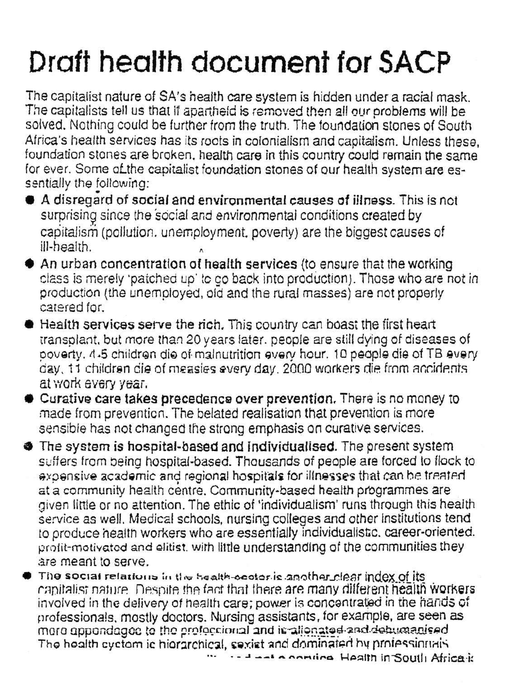## Draft health document for SACP

The capitalist nature of SA's health care system is hidden under a racial mask. The capitalists tell us that if apartheid is removed then all our problems will be solved. Nothing could be further from the truth. The foundation stones of South Africa's health services has its rocts in colonialism and capitalism. Unless these, foundation stones are broken, health care in this country could remain the same for ever. Some of the capitalist foundation stones of our health system are essentially the following:

- A disregard of social and environmental causes of illness. This is not surprising since the social and environmental conditions created by capitalism (pollution, unemployment, poverty) are the biggest causes of ill-health.
- An urban concentration of health services (to ensure that the working class is merely 'patched up' to go back into production). Those who are not in production (the unemployed, old and the rural masses) are not properly catered for.
- leafth services serve the rich. This country can boast the first heart transplant, but more than 20 years later, people are still dying of diseases of poverty. 4-5 children die of malnutrition every hour. 10 people die of TB every day, 11 children die of measies every day, 2000 workers die from ancidents at work every year.
- Curative care takes precedence over prevention. There is no money to made from prevention. The belated realisation that prevention is more sensible has not changed the strong emphasis on curative services.
- The system is hospital-based and individualised. The present system suffers from being hospital-based. Thousands of people are forced to flock to expensive academic and regional hospitals for illnesses that can be treated at a community health centre, Community-based health programmes are given little or no attention. The ethic of 'individualism' runs through this health service as well. Medical schools, nursing colleges and other institutions tend to produce health workers who are essentially individualistic, career-oriented. profit-motivated and elitist, with little understanding of the communities they are meant to serve.
- $\bullet$  The social relations in the bealth-ocolor is another clear index of its capitalist nature. Despite the fact that there are many different health workers. involved in the delivery of health care; power is concentrated in the hands of professionals, mostly doctors. Nursing assistants, for example, are seen as more appondaged to the profectional and it allongted and debuganised The health cyctom ic hiorarchical, sexist and dominated by professionals

... - - - A conting Health in South Africa is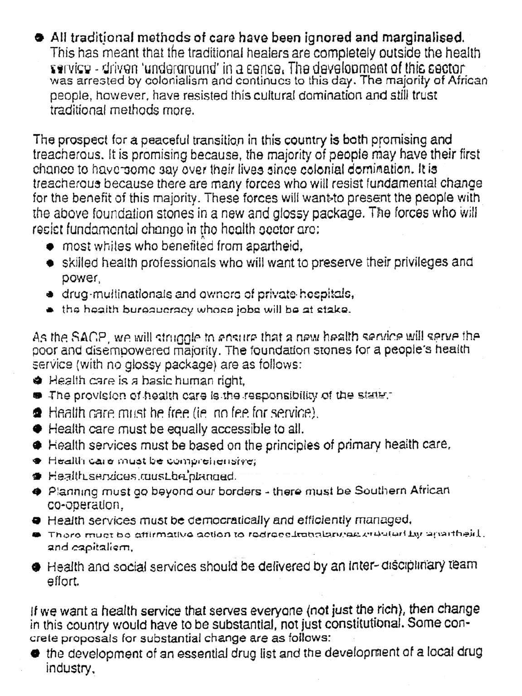All traditional methods of care have been ignored and marginalised. This has meant that the traditional healers are completely outside the health service - driven 'underground' in a sense. The development of this sector was arrested by colonialism and continues to this day. The majority of African people, however, have resisted this cultural domination and still trust traditional methods more.

The prospect for a peaceful transition in this country is both promising and treacherous. It is promising because, the majority of people may have their first chance to have some say over their lives since colonial domination. It is treacherous because there are many forces who will resist fundamental change for the benefit of this majority. These forces will want to present the people with the above foundation stones in a new and glossy package. The forces who will resist fundamental change in the health sector are:

- most whites who benefited from apartheid,
- skilled health professionals who will want to preserve their privileges and power,
- · drug-multinationals and owners of private hespitals,
- . the health bureaucracy whose jobs will be at stake.

As the SACP, we will struggle to ensure that a new health service will serve the poor and disempowered majority. The foundation stones for a people's health service (with no glossy package) are as follows:

- Health care is a basic human right.
- The provision of health care is the responsibility of the state.
- Health care must be free (ie an fee for service).
- Health care must be equally accessible to all.
- lealth services must be based on the principles of primary health care,
- Health care must be comprehensive;
- Health services ruust be planned.
- Planning must go beyond our borders there must be Southern African co-operation,
- **•** Health services must be democratically and efficiently managed,
- There must be affirmative action to redress initializaries endularity apartheid. and eapitalism,
- Health and social services should be delivered by an inter-disciplinary team effort.

If we want a health service that serves everyone (not just the rich), then change in this country would have to be substantial, not just constitutional. Some concrete proposals for substantial change are as follows:

the development of an essential drug list and the development of a local drug industry,